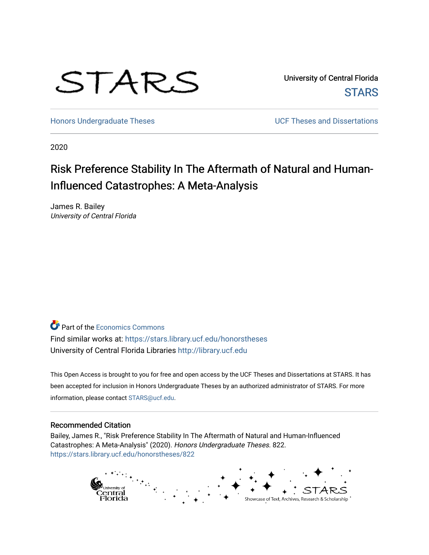

University of Central Florida **STARS** 

[Honors Undergraduate Theses](https://stars.library.ucf.edu/honorstheses) **No. 2018** UCF Theses and Dissertations

2020

# Risk Preference Stability In The Aftermath of Natural and Human-Influenced Catastrophes: A Meta-Analysis

James R. Bailey University of Central Florida

**P** Part of the [Economics Commons](http://network.bepress.com/hgg/discipline/340?utm_source=stars.library.ucf.edu%2Fhonorstheses%2F822&utm_medium=PDF&utm_campaign=PDFCoverPages)

Find similar works at: <https://stars.library.ucf.edu/honorstheses> University of Central Florida Libraries [http://library.ucf.edu](http://library.ucf.edu/) 

This Open Access is brought to you for free and open access by the UCF Theses and Dissertations at STARS. It has been accepted for inclusion in Honors Undergraduate Theses by an authorized administrator of STARS. For more information, please contact [STARS@ucf.edu.](mailto:STARS@ucf.edu)

#### Recommended Citation

Bailey, James R., "Risk Preference Stability In The Aftermath of Natural and Human-Influenced Catastrophes: A Meta-Analysis" (2020). Honors Undergraduate Theses. 822. [https://stars.library.ucf.edu/honorstheses/822](https://stars.library.ucf.edu/honorstheses/822?utm_source=stars.library.ucf.edu%2Fhonorstheses%2F822&utm_medium=PDF&utm_campaign=PDFCoverPages) 

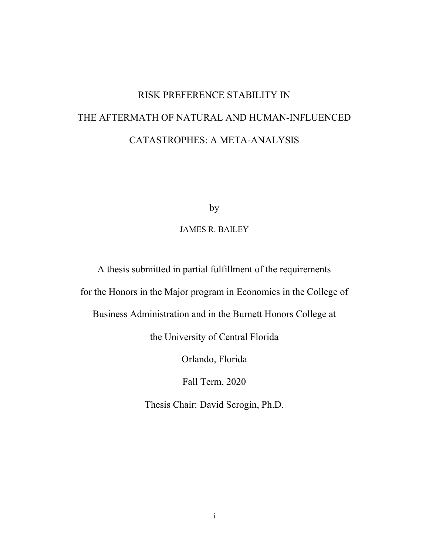# RISK PREFERENCE STABILITY IN THE AFTERMATH OF NATURAL AND HUMAN-INFLUENCED CATASTROPHES: A META-ANALYSIS

by

### JAMES R. BAILEY

A thesis submitted in partial fulfillment of the requirements

for the Honors in the Major program in Economics in the College of

Business Administration and in the Burnett Honors College at

the University of Central Florida

Orlando, Florida

Fall Term, 2020

Thesis Chair: David Scrogin, Ph.D.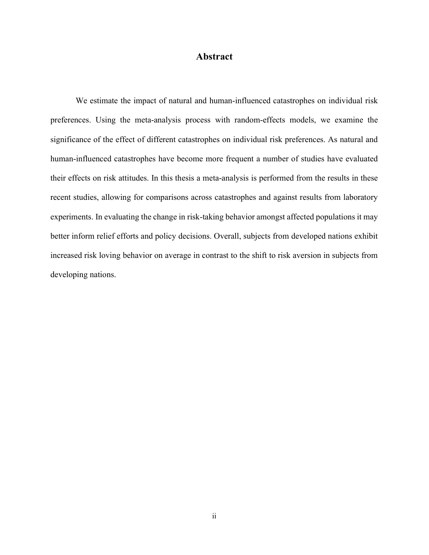#### Abstract

We estimate the impact of natural and human-influenced catastrophes on individual risk preferences. Using the meta-analysis process with random-effects models, we examine the significance of the effect of different catastrophes on individual risk preferences. As natural and human-influenced catastrophes have become more frequent a number of studies have evaluated their effects on risk attitudes. In this thesis a meta-analysis is performed from the results in these recent studies, allowing for comparisons across catastrophes and against results from laboratory experiments. In evaluating the change in risk-taking behavior amongst affected populations it may better inform relief efforts and policy decisions. Overall, subjects from developed nations exhibit increased risk loving behavior on average in contrast to the shift to risk aversion in subjects from developing nations.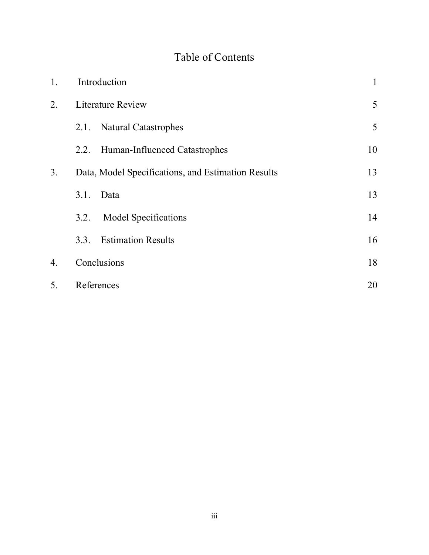# Table of Contents

| 1. | Introduction                                       | 1  |
|----|----------------------------------------------------|----|
| 2. | <b>Literature Review</b>                           | 5  |
|    | <b>Natural Catastrophes</b><br>2.1.                | 5  |
|    | Human-Influenced Catastrophes<br>2.2.              | 10 |
| 3. | Data, Model Specifications, and Estimation Results | 13 |
|    | Data<br>3.1.                                       | 13 |
|    | Model Specifications<br>3.2.                       | 14 |
|    | <b>Estimation Results</b><br>3.3.                  | 16 |
| 4. | Conclusions                                        | 18 |
| 5. | References                                         | 20 |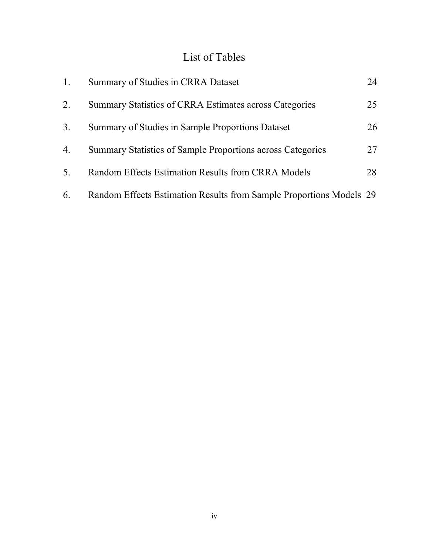# List of Tables

| 1. | Summary of Studies in CRRA Dataset                                  | 24 |
|----|---------------------------------------------------------------------|----|
| 2. | Summary Statistics of CRRA Estimates across Categories              | 25 |
| 3. | Summary of Studies in Sample Proportions Dataset                    | 26 |
| 4. | Summary Statistics of Sample Proportions across Categories          | 27 |
| 5. | Random Effects Estimation Results from CRRA Models                  | 28 |
| 6. | Random Effects Estimation Results from Sample Proportions Models 29 |    |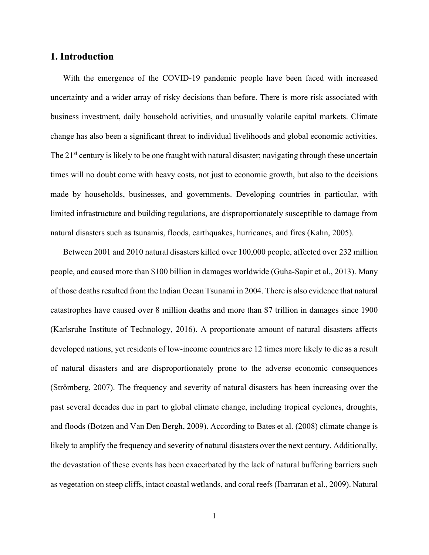#### 1. Introduction

With the emergence of the COVID-19 pandemic people have been faced with increased uncertainty and a wider array of risky decisions than before. There is more risk associated with business investment, daily household activities, and unusually volatile capital markets. Climate change has also been a significant threat to individual livelihoods and global economic activities. The  $21<sup>st</sup>$  century is likely to be one fraught with natural disaster; navigating through these uncertain times will no doubt come with heavy costs, not just to economic growth, but also to the decisions made by households, businesses, and governments. Developing countries in particular, with limited infrastructure and building regulations, are disproportionately susceptible to damage from natural disasters such as tsunamis, floods, earthquakes, hurricanes, and fires (Kahn, 2005).

Between 2001 and 2010 natural disasters killed over 100,000 people, affected over 232 million people, and caused more than \$100 billion in damages worldwide (Guha-Sapir et al., 2013). Many of those deaths resulted from the Indian Ocean Tsunami in 2004. There is also evidence that natural catastrophes have caused over 8 million deaths and more than \$7 trillion in damages since 1900 (Karlsruhe Institute of Technology, 2016). A proportionate amount of natural disasters affects developed nations, yet residents of low-income countries are 12 times more likely to die as a result of natural disasters and are disproportionately prone to the adverse economic consequences (Strömberg, 2007). The frequency and severity of natural disasters has been increasing over the past several decades due in part to global climate change, including tropical cyclones, droughts, and floods (Botzen and Van Den Bergh, 2009). According to Bates et al. (2008) climate change is likely to amplify the frequency and severity of natural disasters over the next century. Additionally, the devastation of these events has been exacerbated by the lack of natural buffering barriers such as vegetation on steep cliffs, intact coastal wetlands, and coral reefs (Ibarraran et al., 2009). Natural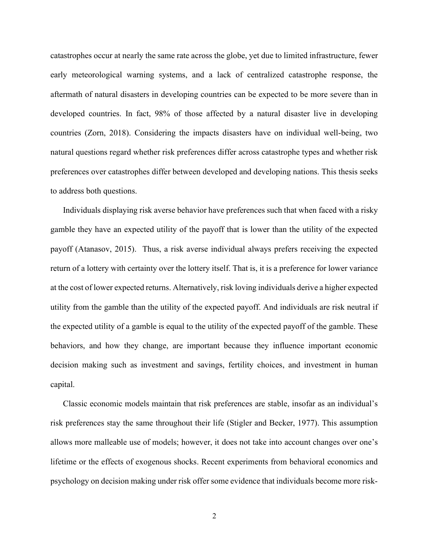catastrophes occur at nearly the same rate across the globe, yet due to limited infrastructure, fewer early meteorological warning systems, and a lack of centralized catastrophe response, the aftermath of natural disasters in developing countries can be expected to be more severe than in developed countries. In fact, 98% of those affected by a natural disaster live in developing countries (Zorn, 2018). Considering the impacts disasters have on individual well-being, two natural questions regard whether risk preferences differ across catastrophe types and whether risk preferences over catastrophes differ between developed and developing nations. This thesis seeks to address both questions.

Individuals displaying risk averse behavior have preferences such that when faced with a risky gamble they have an expected utility of the payoff that is lower than the utility of the expected payoff (Atanasov, 2015). Thus, a risk averse individual always prefers receiving the expected return of a lottery with certainty over the lottery itself. That is, it is a preference for lower variance at the cost of lower expected returns. Alternatively, risk loving individuals derive a higher expected utility from the gamble than the utility of the expected payoff. And individuals are risk neutral if the expected utility of a gamble is equal to the utility of the expected payoff of the gamble. These behaviors, and how they change, are important because they influence important economic decision making such as investment and savings, fertility choices, and investment in human capital.

Classic economic models maintain that risk preferences are stable, insofar as an individual's risk preferences stay the same throughout their life (Stigler and Becker, 1977). This assumption allows more malleable use of models; however, it does not take into account changes over one's lifetime or the effects of exogenous shocks. Recent experiments from behavioral economics and psychology on decision making under risk offer some evidence that individuals become more risk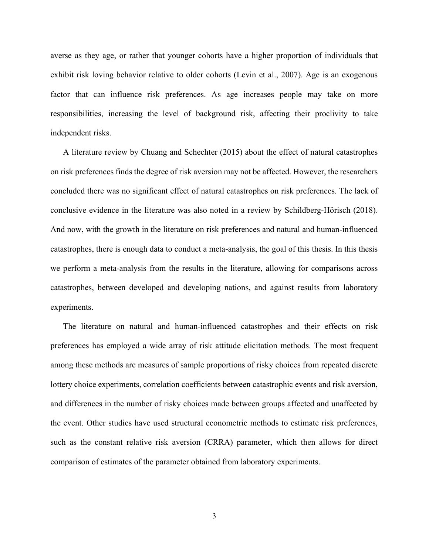averse as they age, or rather that younger cohorts have a higher proportion of individuals that exhibit risk loving behavior relative to older cohorts (Levin et al., 2007). Age is an exogenous factor that can influence risk preferences. As age increases people may take on more responsibilities, increasing the level of background risk, affecting their proclivity to take independent risks.

A literature review by Chuang and Schechter (2015) about the effect of natural catastrophes on risk preferences finds the degree of risk aversion may not be affected. However, the researchers concluded there was no significant effect of natural catastrophes on risk preferences. The lack of conclusive evidence in the literature was also noted in a review by Schildberg-Hörisch (2018). And now, with the growth in the literature on risk preferences and natural and human-influenced catastrophes, there is enough data to conduct a meta-analysis, the goal of this thesis. In this thesis we perform a meta-analysis from the results in the literature, allowing for comparisons across catastrophes, between developed and developing nations, and against results from laboratory experiments.

The literature on natural and human-influenced catastrophes and their effects on risk preferences has employed a wide array of risk attitude elicitation methods. The most frequent among these methods are measures of sample proportions of risky choices from repeated discrete lottery choice experiments, correlation coefficients between catastrophic events and risk aversion, and differences in the number of risky choices made between groups affected and unaffected by the event. Other studies have used structural econometric methods to estimate risk preferences, such as the constant relative risk aversion (CRRA) parameter, which then allows for direct comparison of estimates of the parameter obtained from laboratory experiments.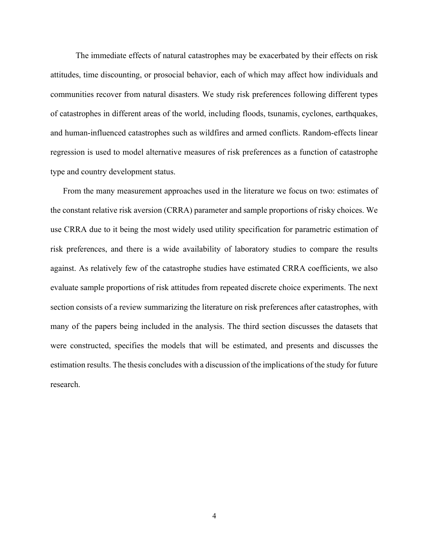The immediate effects of natural catastrophes may be exacerbated by their effects on risk attitudes, time discounting, or prosocial behavior, each of which may affect how individuals and communities recover from natural disasters. We study risk preferences following different types of catastrophes in different areas of the world, including floods, tsunamis, cyclones, earthquakes, and human-influenced catastrophes such as wildfires and armed conflicts. Random-effects linear regression is used to model alternative measures of risk preferences as a function of catastrophe type and country development status.

From the many measurement approaches used in the literature we focus on two: estimates of the constant relative risk aversion (CRRA) parameter and sample proportions of risky choices. We use CRRA due to it being the most widely used utility specification for parametric estimation of risk preferences, and there is a wide availability of laboratory studies to compare the results against. As relatively few of the catastrophe studies have estimated CRRA coefficients, we also evaluate sample proportions of risk attitudes from repeated discrete choice experiments. The next section consists of a review summarizing the literature on risk preferences after catastrophes, with many of the papers being included in the analysis. The third section discusses the datasets that were constructed, specifies the models that will be estimated, and presents and discusses the estimation results. The thesis concludes with a discussion of the implications of the study for future research.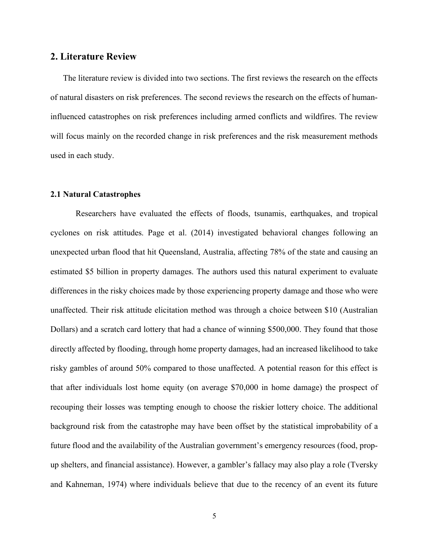#### 2. Literature Review

The literature review is divided into two sections. The first reviews the research on the effects of natural disasters on risk preferences. The second reviews the research on the effects of humaninfluenced catastrophes on risk preferences including armed conflicts and wildfires. The review will focus mainly on the recorded change in risk preferences and the risk measurement methods used in each study.

#### 2.1 Natural Catastrophes

Researchers have evaluated the effects of floods, tsunamis, earthquakes, and tropical cyclones on risk attitudes. Page et al. (2014) investigated behavioral changes following an unexpected urban flood that hit Queensland, Australia, affecting 78% of the state and causing an estimated \$5 billion in property damages. The authors used this natural experiment to evaluate differences in the risky choices made by those experiencing property damage and those who were unaffected. Their risk attitude elicitation method was through a choice between \$10 (Australian Dollars) and a scratch card lottery that had a chance of winning \$500,000. They found that those directly affected by flooding, through home property damages, had an increased likelihood to take risky gambles of around 50% compared to those unaffected. A potential reason for this effect is that after individuals lost home equity (on average \$70,000 in home damage) the prospect of recouping their losses was tempting enough to choose the riskier lottery choice. The additional background risk from the catastrophe may have been offset by the statistical improbability of a future flood and the availability of the Australian government's emergency resources (food, propup shelters, and financial assistance). However, a gambler's fallacy may also play a role (Tversky and Kahneman, 1974) where individuals believe that due to the recency of an event its future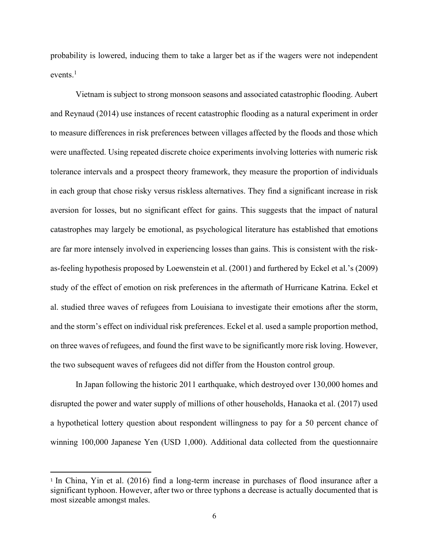probability is lowered, inducing them to take a larger bet as if the wagers were not independent  $e$ vents.<sup>1</sup>

 Vietnam is subject to strong monsoon seasons and associated catastrophic flooding. Aubert and Reynaud (2014) use instances of recent catastrophic flooding as a natural experiment in order to measure differences in risk preferences between villages affected by the floods and those which were unaffected. Using repeated discrete choice experiments involving lotteries with numeric risk tolerance intervals and a prospect theory framework, they measure the proportion of individuals in each group that chose risky versus riskless alternatives. They find a significant increase in risk aversion for losses, but no significant effect for gains. This suggests that the impact of natural catastrophes may largely be emotional, as psychological literature has established that emotions are far more intensely involved in experiencing losses than gains. This is consistent with the riskas-feeling hypothesis proposed by Loewenstein et al. (2001) and furthered by Eckel et al.'s (2009) study of the effect of emotion on risk preferences in the aftermath of Hurricane Katrina. Eckel et al. studied three waves of refugees from Louisiana to investigate their emotions after the storm, and the storm's effect on individual risk preferences. Eckel et al. used a sample proportion method, on three waves of refugees, and found the first wave to be significantly more risk loving. However, the two subsequent waves of refugees did not differ from the Houston control group.

 In Japan following the historic 2011 earthquake, which destroyed over 130,000 homes and disrupted the power and water supply of millions of other households, Hanaoka et al. (2017) used a hypothetical lottery question about respondent willingness to pay for a 50 percent chance of winning 100,000 Japanese Yen (USD 1,000). Additional data collected from the questionnaire

<sup>1</sup> In China, Yin et al. (2016) find a long-term increase in purchases of flood insurance after a significant typhoon. However, after two or three typhons a decrease is actually documented that is most sizeable amongst males.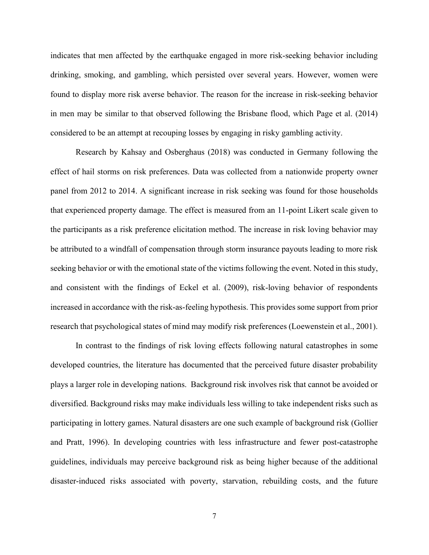indicates that men affected by the earthquake engaged in more risk-seeking behavior including drinking, smoking, and gambling, which persisted over several years. However, women were found to display more risk averse behavior. The reason for the increase in risk-seeking behavior in men may be similar to that observed following the Brisbane flood, which Page et al. (2014) considered to be an attempt at recouping losses by engaging in risky gambling activity.

 Research by Kahsay and Osberghaus (2018) was conducted in Germany following the effect of hail storms on risk preferences. Data was collected from a nationwide property owner panel from 2012 to 2014. A significant increase in risk seeking was found for those households that experienced property damage. The effect is measured from an 11-point Likert scale given to the participants as a risk preference elicitation method. The increase in risk loving behavior may be attributed to a windfall of compensation through storm insurance payouts leading to more risk seeking behavior or with the emotional state of the victims following the event. Noted in this study, and consistent with the findings of Eckel et al. (2009), risk-loving behavior of respondents increased in accordance with the risk-as-feeling hypothesis. This provides some support from prior research that psychological states of mind may modify risk preferences (Loewenstein et al., 2001).

 In contrast to the findings of risk loving effects following natural catastrophes in some developed countries, the literature has documented that the perceived future disaster probability plays a larger role in developing nations. Background risk involves risk that cannot be avoided or diversified. Background risks may make individuals less willing to take independent risks such as participating in lottery games. Natural disasters are one such example of background risk (Gollier and Pratt, 1996). In developing countries with less infrastructure and fewer post-catastrophe guidelines, individuals may perceive background risk as being higher because of the additional disaster-induced risks associated with poverty, starvation, rebuilding costs, and the future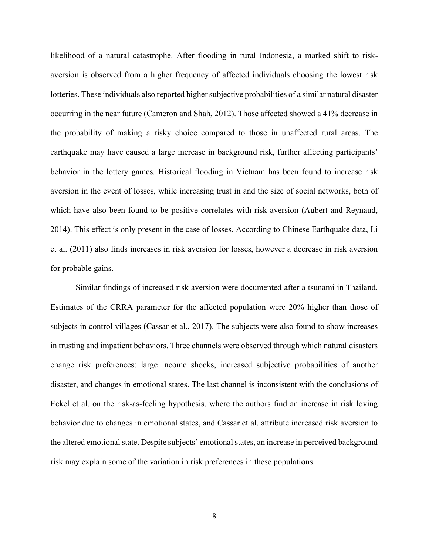likelihood of a natural catastrophe. After flooding in rural Indonesia, a marked shift to riskaversion is observed from a higher frequency of affected individuals choosing the lowest risk lotteries. These individuals also reported higher subjective probabilities of a similar natural disaster occurring in the near future (Cameron and Shah, 2012). Those affected showed a 41% decrease in the probability of making a risky choice compared to those in unaffected rural areas. The earthquake may have caused a large increase in background risk, further affecting participants' behavior in the lottery games. Historical flooding in Vietnam has been found to increase risk aversion in the event of losses, while increasing trust in and the size of social networks, both of which have also been found to be positive correlates with risk aversion (Aubert and Reynaud, 2014). This effect is only present in the case of losses. According to Chinese Earthquake data, Li et al. (2011) also finds increases in risk aversion for losses, however a decrease in risk aversion for probable gains.

 Similar findings of increased risk aversion were documented after a tsunami in Thailand. Estimates of the CRRA parameter for the affected population were 20% higher than those of subjects in control villages (Cassar et al., 2017). The subjects were also found to show increases in trusting and impatient behaviors. Three channels were observed through which natural disasters change risk preferences: large income shocks, increased subjective probabilities of another disaster, and changes in emotional states. The last channel is inconsistent with the conclusions of Eckel et al. on the risk-as-feeling hypothesis, where the authors find an increase in risk loving behavior due to changes in emotional states, and Cassar et al. attribute increased risk aversion to the altered emotional state. Despite subjects' emotional states, an increase in perceived background risk may explain some of the variation in risk preferences in these populations.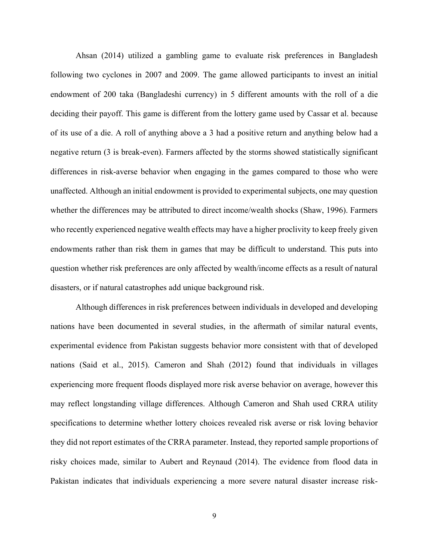Ahsan (2014) utilized a gambling game to evaluate risk preferences in Bangladesh following two cyclones in 2007 and 2009. The game allowed participants to invest an initial endowment of 200 taka (Bangladeshi currency) in 5 different amounts with the roll of a die deciding their payoff. This game is different from the lottery game used by Cassar et al. because of its use of a die. A roll of anything above a 3 had a positive return and anything below had a negative return (3 is break-even). Farmers affected by the storms showed statistically significant differences in risk-averse behavior when engaging in the games compared to those who were unaffected. Although an initial endowment is provided to experimental subjects, one may question whether the differences may be attributed to direct income/wealth shocks (Shaw, 1996). Farmers who recently experienced negative wealth effects may have a higher proclivity to keep freely given endowments rather than risk them in games that may be difficult to understand. This puts into question whether risk preferences are only affected by wealth/income effects as a result of natural disasters, or if natural catastrophes add unique background risk.

 Although differences in risk preferences between individuals in developed and developing nations have been documented in several studies, in the aftermath of similar natural events, experimental evidence from Pakistan suggests behavior more consistent with that of developed nations (Said et al., 2015). Cameron and Shah (2012) found that individuals in villages experiencing more frequent floods displayed more risk averse behavior on average, however this may reflect longstanding village differences. Although Cameron and Shah used CRRA utility specifications to determine whether lottery choices revealed risk averse or risk loving behavior they did not report estimates of the CRRA parameter. Instead, they reported sample proportions of risky choices made, similar to Aubert and Reynaud (2014). The evidence from flood data in Pakistan indicates that individuals experiencing a more severe natural disaster increase risk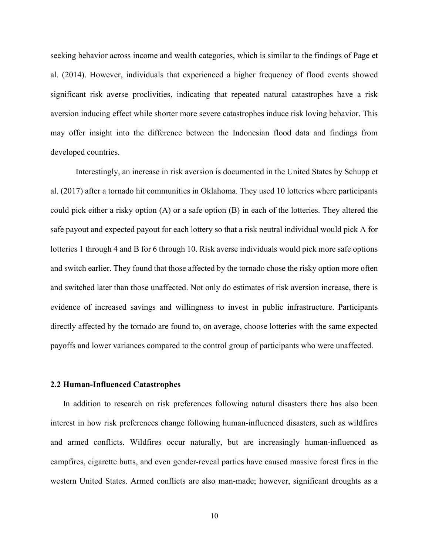seeking behavior across income and wealth categories, which is similar to the findings of Page et al. (2014). However, individuals that experienced a higher frequency of flood events showed significant risk averse proclivities, indicating that repeated natural catastrophes have a risk aversion inducing effect while shorter more severe catastrophes induce risk loving behavior. This may offer insight into the difference between the Indonesian flood data and findings from developed countries.

 Interestingly, an increase in risk aversion is documented in the United States by Schupp et al. (2017) after a tornado hit communities in Oklahoma. They used 10 lotteries where participants could pick either a risky option (A) or a safe option (B) in each of the lotteries. They altered the safe payout and expected payout for each lottery so that a risk neutral individual would pick A for lotteries 1 through 4 and B for 6 through 10. Risk averse individuals would pick more safe options and switch earlier. They found that those affected by the tornado chose the risky option more often and switched later than those unaffected. Not only do estimates of risk aversion increase, there is evidence of increased savings and willingness to invest in public infrastructure. Participants directly affected by the tornado are found to, on average, choose lotteries with the same expected payoffs and lower variances compared to the control group of participants who were unaffected.

#### 2.2 Human-Influenced Catastrophes

In addition to research on risk preferences following natural disasters there has also been interest in how risk preferences change following human-influenced disasters, such as wildfires and armed conflicts. Wildfires occur naturally, but are increasingly human-influenced as campfires, cigarette butts, and even gender-reveal parties have caused massive forest fires in the western United States. Armed conflicts are also man-made; however, significant droughts as a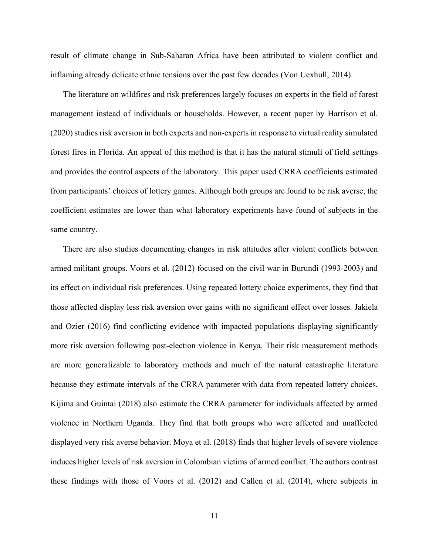result of climate change in Sub-Saharan Africa have been attributed to violent conflict and inflaming already delicate ethnic tensions over the past few decades (Von Uexhull, 2014).

The literature on wildfires and risk preferences largely focuses on experts in the field of forest management instead of individuals or households. However, a recent paper by Harrison et al. (2020) studies risk aversion in both experts and non-experts in response to virtual reality simulated forest fires in Florida. An appeal of this method is that it has the natural stimuli of field settings and provides the control aspects of the laboratory. This paper used CRRA coefficients estimated from participants' choices of lottery games. Although both groups are found to be risk averse, the coefficient estimates are lower than what laboratory experiments have found of subjects in the same country.

There are also studies documenting changes in risk attitudes after violent conflicts between armed militant groups. Voors et al. (2012) focused on the civil war in Burundi (1993-2003) and its effect on individual risk preferences. Using repeated lottery choice experiments, they find that those affected display less risk aversion over gains with no significant effect over losses. Jakiela and Ozier (2016) find conflicting evidence with impacted populations displaying significantly more risk aversion following post-election violence in Kenya. Their risk measurement methods are more generalizable to laboratory methods and much of the natural catastrophe literature because they estimate intervals of the CRRA parameter with data from repeated lottery choices. Kijima and Guintai (2018) also estimate the CRRA parameter for individuals affected by armed violence in Northern Uganda. They find that both groups who were affected and unaffected displayed very risk averse behavior. Moya et al. (2018) finds that higher levels of severe violence induces higher levels of risk aversion in Colombian victims of armed conflict. The authors contrast these findings with those of Voors et al. (2012) and Callen et al. (2014), where subjects in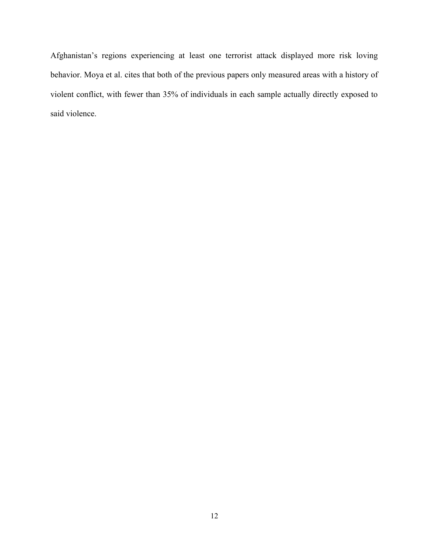Afghanistan's regions experiencing at least one terrorist attack displayed more risk loving behavior. Moya et al. cites that both of the previous papers only measured areas with a history of violent conflict, with fewer than 35% of individuals in each sample actually directly exposed to said violence.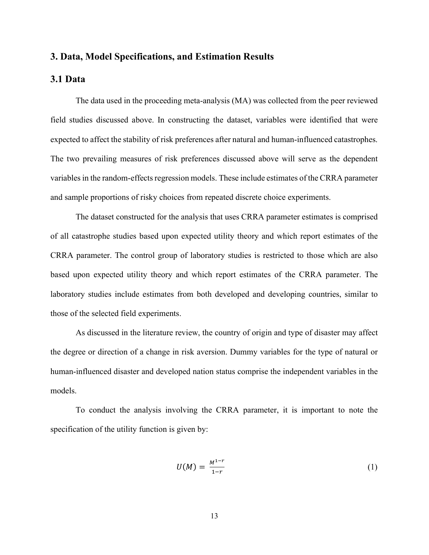#### 3. Data, Model Specifications, and Estimation Results

#### 3.1 Data

The data used in the proceeding meta-analysis (MA) was collected from the peer reviewed field studies discussed above. In constructing the dataset, variables were identified that were expected to affect the stability of risk preferences after natural and human-influenced catastrophes. The two prevailing measures of risk preferences discussed above will serve as the dependent variables in the random-effects regression models. These include estimates of the CRRA parameter and sample proportions of risky choices from repeated discrete choice experiments.

The dataset constructed for the analysis that uses CRRA parameter estimates is comprised of all catastrophe studies based upon expected utility theory and which report estimates of the CRRA parameter. The control group of laboratory studies is restricted to those which are also based upon expected utility theory and which report estimates of the CRRA parameter. The laboratory studies include estimates from both developed and developing countries, similar to those of the selected field experiments.

 As discussed in the literature review, the country of origin and type of disaster may affect the degree or direction of a change in risk aversion. Dummy variables for the type of natural or human-influenced disaster and developed nation status comprise the independent variables in the models.

To conduct the analysis involving the CRRA parameter, it is important to note the specification of the utility function is given by:

$$
U(M) = \frac{M^{1-r}}{1-r} \tag{1}
$$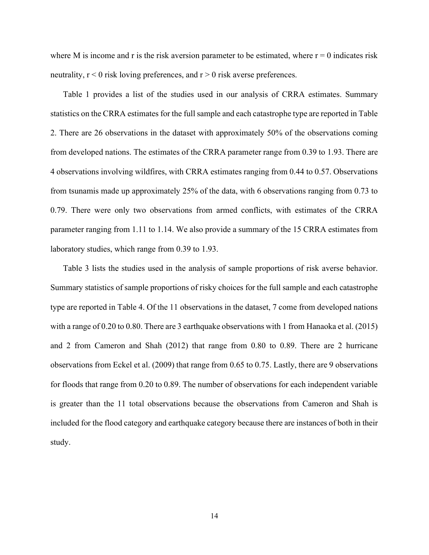where M is income and r is the risk aversion parameter to be estimated, where  $r = 0$  indicates risk neutrality,  $r < 0$  risk loving preferences, and  $r > 0$  risk averse preferences.

Table 1 provides a list of the studies used in our analysis of CRRA estimates. Summary statistics on the CRRA estimates for the full sample and each catastrophe type are reported in Table 2. There are 26 observations in the dataset with approximately 50% of the observations coming from developed nations. The estimates of the CRRA parameter range from 0.39 to 1.93. There are 4 observations involving wildfires, with CRRA estimates ranging from 0.44 to 0.57. Observations from tsunamis made up approximately 25% of the data, with 6 observations ranging from 0.73 to 0.79. There were only two observations from armed conflicts, with estimates of the CRRA parameter ranging from 1.11 to 1.14. We also provide a summary of the 15 CRRA estimates from laboratory studies, which range from 0.39 to 1.93.

Table 3 lists the studies used in the analysis of sample proportions of risk averse behavior. Summary statistics of sample proportions of risky choices for the full sample and each catastrophe type are reported in Table 4. Of the 11 observations in the dataset, 7 come from developed nations with a range of 0.20 to 0.80. There are 3 earthquake observations with 1 from Hanaoka et al. (2015) and 2 from Cameron and Shah (2012) that range from 0.80 to 0.89. There are 2 hurricane observations from Eckel et al. (2009) that range from 0.65 to 0.75. Lastly, there are 9 observations for floods that range from 0.20 to 0.89. The number of observations for each independent variable is greater than the 11 total observations because the observations from Cameron and Shah is included for the flood category and earthquake category because there are instances of both in their study.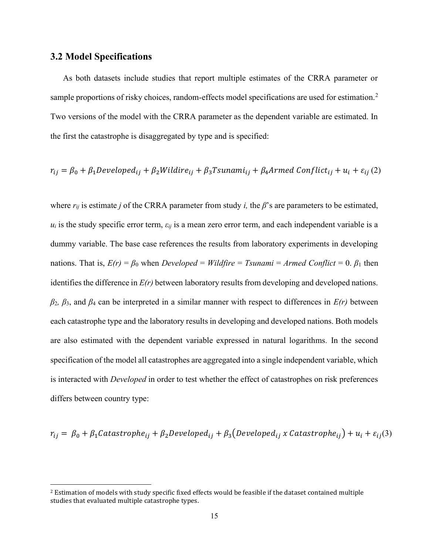### 3.2 Model Specifications

As both datasets include studies that report multiple estimates of the CRRA parameter or sample proportions of risky choices, random-effects model specifications are used for estimation.<sup>2</sup> Two versions of the model with the CRRA parameter as the dependent variable are estimated. In the first the catastrophe is disaggregated by type and is specified:

$$
r_{ij} = \beta_0 + \beta_1 \text{Developed}_{ij} + \beta_2 \text{Wildire}_{ij} + \beta_3 \text{Tsunami}_{ij} + \beta_4 \text{Armed Conflict}_{ij} + u_i + \varepsilon_{ij} (2)
$$

where  $r_{ij}$  is estimate j of the CRRA parameter from study i, the  $\beta$ 's are parameters to be estimated,  $u_i$  is the study specific error term,  $\varepsilon_{ii}$  is a mean zero error term, and each independent variable is a dummy variable. The base case references the results from laboratory experiments in developing nations. That is,  $E(r) = \beta_0$  when Developed = Wildfire = Tsunami = Armed Conflict = 0.  $\beta_1$  then identifies the difference in  $E(r)$  between laboratory results from developing and developed nations.  $\beta_2$ ,  $\beta_3$ , and  $\beta_4$  can be interpreted in a similar manner with respect to differences in  $E(r)$  between each catastrophe type and the laboratory results in developing and developed nations. Both models are also estimated with the dependent variable expressed in natural logarithms. In the second specification of the model all catastrophes are aggregated into a single independent variable, which is interacted with *Developed* in order to test whether the effect of catastrophes on risk preferences differs between country type:

$$
r_{ij} = \beta_0 + \beta_1 \text{Catastrophic}_{ij} + \beta_2 \text{Developed}_{ij} + \beta_3 \text{(Developed}_{ij} \times \text{Catastrophe}_{ij} + u_i + \varepsilon_{ij} \text{)}
$$

<sup>&</sup>lt;sup>2</sup> Estimation of models with study specific fixed effects would be feasible if the dataset contained multiple studies that evaluated multiple catastrophe types.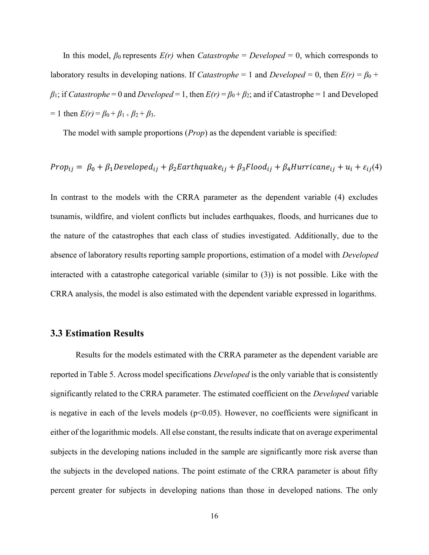In this model,  $\beta_0$  represents  $E(r)$  when *Catastrophe = Developed* = 0, which corresponds to laboratory results in developing nations. If Catastrophe = 1 and Developed = 0, then  $E(r) = \beta_0$  +  $\beta_1$ ; if Catastrophe = 0 and Developed = 1, then  $E(r) = \beta_0 + \beta_2$ ; and if Catastrophe = 1 and Developed = 1 then  $E(r) = \beta_0 + \beta_1 + \beta_2 + \beta_3$ .

The model with sample proportions (*Prop*) as the dependent variable is specified:

*Prop<sub>ij</sub>* = 
$$
\beta_0 + \beta_1
$$
*Developed<sub>ij</sub>* +  $\beta_2$ *Earthquake<sub>ij</sub>* +  $\beta_3$ *Flood<sub>ij</sub>* +  $\beta_4$ *Hurricane<sub>ij</sub>* +  $u_i$  +  $\varepsilon_{ij}$ (4)

In contrast to the models with the CRRA parameter as the dependent variable (4) excludes tsunamis, wildfire, and violent conflicts but includes earthquakes, floods, and hurricanes due to the nature of the catastrophes that each class of studies investigated. Additionally, due to the absence of laboratory results reporting sample proportions, estimation of a model with Developed interacted with a catastrophe categorical variable (similar to (3)) is not possible. Like with the CRRA analysis, the model is also estimated with the dependent variable expressed in logarithms.

#### 3.3 Estimation Results

Results for the models estimated with the CRRA parameter as the dependent variable are reported in Table 5. Across model specifications Developed is the only variable that is consistently significantly related to the CRRA parameter. The estimated coefficient on the *Developed* variable is negative in each of the levels models ( $p<0.05$ ). However, no coefficients were significant in either of the logarithmic models. All else constant, the results indicate that on average experimental subjects in the developing nations included in the sample are significantly more risk averse than the subjects in the developed nations. The point estimate of the CRRA parameter is about fifty percent greater for subjects in developing nations than those in developed nations. The only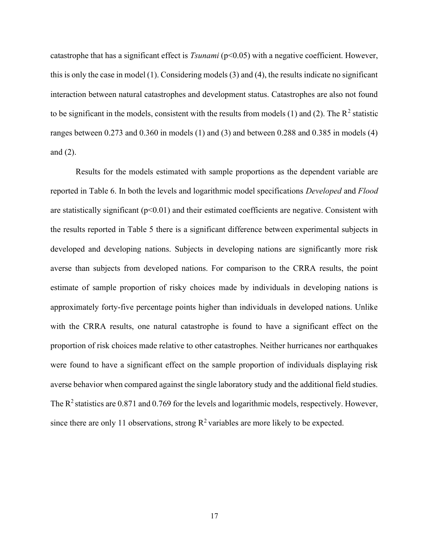catastrophe that has a significant effect is *Tsunami* ( $p$ <0.05) with a negative coefficient. However, this is only the case in model (1). Considering models (3) and (4), the results indicate no significant interaction between natural catastrophes and development status. Catastrophes are also not found to be significant in the models, consistent with the results from models (1) and (2). The  $R^2$  statistic ranges between 0.273 and 0.360 in models (1) and (3) and between 0.288 and 0.385 in models (4) and (2).

 Results for the models estimated with sample proportions as the dependent variable are reported in Table 6. In both the levels and logarithmic model specifications Developed and Flood are statistically significant  $(p<0.01)$  and their estimated coefficients are negative. Consistent with the results reported in Table 5 there is a significant difference between experimental subjects in developed and developing nations. Subjects in developing nations are significantly more risk averse than subjects from developed nations. For comparison to the CRRA results, the point estimate of sample proportion of risky choices made by individuals in developing nations is approximately forty-five percentage points higher than individuals in developed nations. Unlike with the CRRA results, one natural catastrophe is found to have a significant effect on the proportion of risk choices made relative to other catastrophes. Neither hurricanes nor earthquakes were found to have a significant effect on the sample proportion of individuals displaying risk averse behavior when compared against the single laboratory study and the additional field studies. The  $R^2$  statistics are 0.871 and 0.769 for the levels and logarithmic models, respectively. However, since there are only 11 observations, strong  $R^2$  variables are more likely to be expected.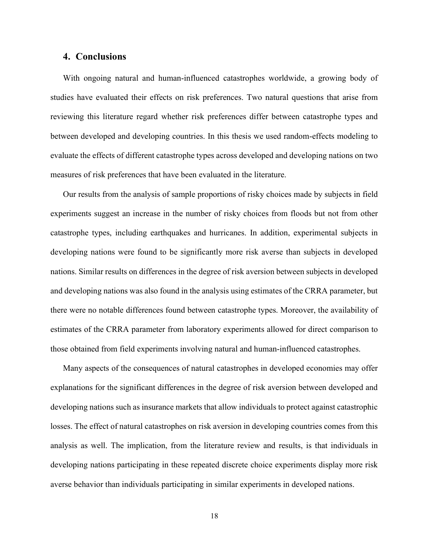#### 4. Conclusions

With ongoing natural and human-influenced catastrophes worldwide, a growing body of studies have evaluated their effects on risk preferences. Two natural questions that arise from reviewing this literature regard whether risk preferences differ between catastrophe types and between developed and developing countries. In this thesis we used random-effects modeling to evaluate the effects of different catastrophe types across developed and developing nations on two measures of risk preferences that have been evaluated in the literature.

Our results from the analysis of sample proportions of risky choices made by subjects in field experiments suggest an increase in the number of risky choices from floods but not from other catastrophe types, including earthquakes and hurricanes. In addition, experimental subjects in developing nations were found to be significantly more risk averse than subjects in developed nations. Similar results on differences in the degree of risk aversion between subjects in developed and developing nations was also found in the analysis using estimates of the CRRA parameter, but there were no notable differences found between catastrophe types. Moreover, the availability of estimates of the CRRA parameter from laboratory experiments allowed for direct comparison to those obtained from field experiments involving natural and human-influenced catastrophes.

Many aspects of the consequences of natural catastrophes in developed economies may offer explanations for the significant differences in the degree of risk aversion between developed and developing nations such as insurance markets that allow individuals to protect against catastrophic losses. The effect of natural catastrophes on risk aversion in developing countries comes from this analysis as well. The implication, from the literature review and results, is that individuals in developing nations participating in these repeated discrete choice experiments display more risk averse behavior than individuals participating in similar experiments in developed nations.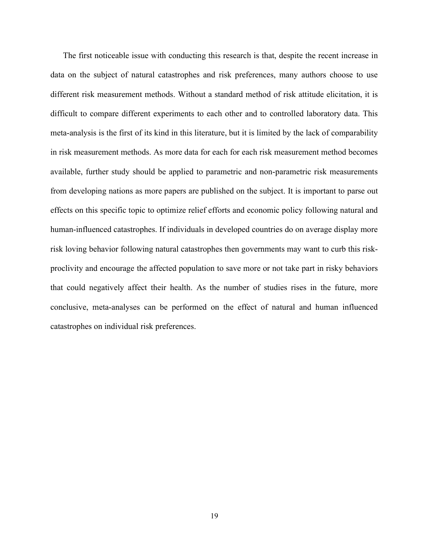The first noticeable issue with conducting this research is that, despite the recent increase in data on the subject of natural catastrophes and risk preferences, many authors choose to use different risk measurement methods. Without a standard method of risk attitude elicitation, it is difficult to compare different experiments to each other and to controlled laboratory data. This meta-analysis is the first of its kind in this literature, but it is limited by the lack of comparability in risk measurement methods. As more data for each for each risk measurement method becomes available, further study should be applied to parametric and non-parametric risk measurements from developing nations as more papers are published on the subject. It is important to parse out effects on this specific topic to optimize relief efforts and economic policy following natural and human-influenced catastrophes. If individuals in developed countries do on average display more risk loving behavior following natural catastrophes then governments may want to curb this riskproclivity and encourage the affected population to save more or not take part in risky behaviors that could negatively affect their health. As the number of studies rises in the future, more conclusive, meta-analyses can be performed on the effect of natural and human influenced catastrophes on individual risk preferences.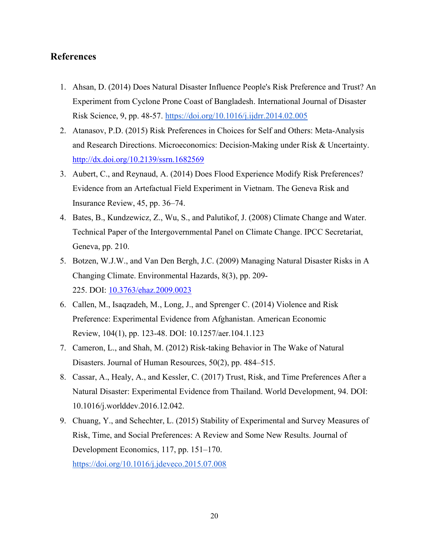### References

- 1. Ahsan, D. (2014) Does Natural Disaster Influence People's Risk Preference and Trust? An Experiment from Cyclone Prone Coast of Bangladesh. International Journal of Disaster Risk Science, 9, pp. 48-57. https://doi.org/10.1016/j.ijdrr.2014.02.005
- 2. Atanasov, P.D. (2015) Risk Preferences in Choices for Self and Others: Meta-Analysis and Research Directions. Microeconomics: Decision-Making under Risk & Uncertainty. http://dx.doi.org/10.2139/ssrn.1682569
- 3. Aubert, C., and Reynaud, A. (2014) Does Flood Experience Modify Risk Preferences? Evidence from an Artefactual Field Experiment in Vietnam. The Geneva Risk and Insurance Review, 45, pp. 36–74.
- 4. Bates, B., Kundzewicz, Z., Wu, S., and Palutikof, J. (2008) Climate Change and Water. Technical Paper of the Intergovernmental Panel on Climate Change. IPCC Secretariat, Geneva, pp. 210.
- 5. Botzen, W.J.W., and Van Den Bergh, J.C. (2009) Managing Natural Disaster Risks in A Changing Climate. Environmental Hazards, 8(3), pp. 209- 225. DOI: 10.3763/ehaz.2009.0023
- 6. Callen, M., Isaqzadeh, M., Long, J., and Sprenger C. (2014) Violence and Risk Preference: Experimental Evidence from Afghanistan. American Economic Review, 104(1), pp. 123-48. DOI: 10.1257/aer.104.1.123
- 7. Cameron, L., and Shah, M. (2012) Risk-taking Behavior in The Wake of Natural Disasters. Journal of Human Resources, 50(2), pp. 484–515.
- 8. Cassar, A., Healy, A., and Kessler, C. (2017) Trust, Risk, and Time Preferences After a Natural Disaster: Experimental Evidence from Thailand. World Development, 94. DOI: 10.1016/j.worlddev.2016.12.042.
- 9. Chuang, Y., and Schechter, L. (2015) Stability of Experimental and Survey Measures of Risk, Time, and Social Preferences: A Review and Some New Results. Journal of Development Economics, 117, pp. 151–170. https://doi.org/10.1016/j.jdeveco.2015.07.008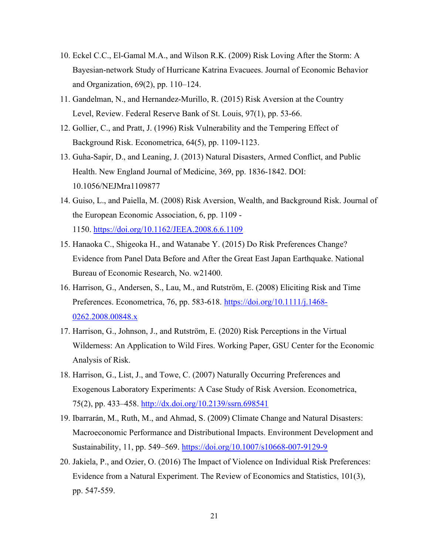- 10. Eckel C.C., El-Gamal M.A., and Wilson R.K. (2009) Risk Loving After the Storm: A Bayesian-network Study of Hurricane Katrina Evacuees. Journal of Economic Behavior and Organization, 69(2), pp. 110–124.
- 11. Gandelman, N., and Hernandez-Murillo, R. (2015) Risk Aversion at the Country Level, Review. Federal Reserve Bank of St. Louis, 97(1), pp. 53-66.
- 12. Gollier, C., and Pratt, J. (1996) Risk Vulnerability and the Tempering Effect of Background Risk. Econometrica, 64(5), pp. 1109-1123.
- 13. Guha-Sapir, D., and Leaning, J. (2013) Natural Disasters, Armed Conflict, and Public Health. New England Journal of Medicine, 369, pp. 1836-1842. DOI: 10.1056/NEJMra1109877
- 14. Guiso, L., and Paiella, M. (2008) Risk Aversion, Wealth, and Background Risk. Journal of the European Economic Association, 6, pp. 1109 - 1150. https://doi.org/10.1162/JEEA.2008.6.6.1109
- 15. Hanaoka C., Shigeoka H., and Watanabe Y. (2015) Do Risk Preferences Change? Evidence from Panel Data Before and After the Great East Japan Earthquake. National Bureau of Economic Research, No. w21400.
- 16. Harrison, G., Andersen, S., Lau, M., and Rutström, E. (2008) Eliciting Risk and Time Preferences. Econometrica, 76, pp. 583-618. https://doi.org/10.1111/j.1468-0262.2008.00848.x
- 17. Harrison, G., Johnson, J., and Rutström, E. (2020) Risk Perceptions in the Virtual Wilderness: An Application to Wild Fires. Working Paper, GSU Center for the Economic Analysis of Risk.
- 18. Harrison, G., List, J., and Towe, C. (2007) Naturally Occurring Preferences and Exogenous Laboratory Experiments: A Case Study of Risk Aversion. Econometrica, 75(2), pp. 433–458. http://dx.doi.org/10.2139/ssrn.698541
- 19. Ibarrarán, M., Ruth, M., and Ahmad, S. (2009) Climate Change and Natural Disasters: Macroeconomic Performance and Distributional Impacts. Environment Development and Sustainability, 11, pp. 549–569. https://doi.org/10.1007/s10668-007-9129-9
- 20. Jakiela, P., and Ozier, O. (2016) The Impact of Violence on Individual Risk Preferences: Evidence from a Natural Experiment. The Review of Economics and Statistics, 101(3), pp. 547-559.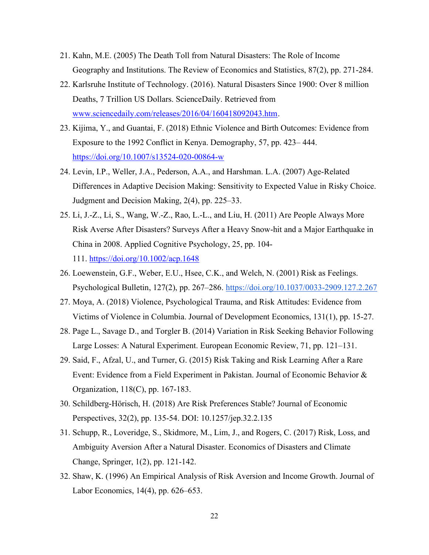- 21. Kahn, M.E. (2005) The Death Toll from Natural Disasters: The Role of Income Geography and Institutions. The Review of Economics and Statistics, 87(2), pp. 271-284.
- 22. Karlsruhe Institute of Technology. (2016). Natural Disasters Since 1900: Over 8 million Deaths, 7 Trillion US Dollars. ScienceDaily. Retrieved from www.sciencedaily.com/releases/2016/04/160418092043.htm.
- 23. Kijima, Y., and Guantai, F. (2018) Ethnic Violence and Birth Outcomes: Evidence from Exposure to the 1992 Conflict in Kenya. Demography, 57, pp. 423– 444. https://doi.org/10.1007/s13524-020-00864-w
- 24. Levin, I.P., Weller, J.A., Pederson, A.A., and Harshman. L.A. (2007) Age-Related Differences in Adaptive Decision Making: Sensitivity to Expected Value in Risky Choice. Judgment and Decision Making, 2(4), pp. 225–33.
- 25. Li, J.-Z., Li, S., Wang, W.‐Z., Rao, L.‐L., and Liu, H. (2011) Are People Always More Risk Averse After Disasters? Surveys After a Heavy Snow‐hit and a Major Earthquake in China in 2008. Applied Cognitive Psychology, 25, pp. 104- 111. https://doi.org/10.1002/acp.1648
- 26. Loewenstein, G.F., Weber, E.U., Hsee, C.K., and Welch, N. (2001) Risk as Feelings. Psychological Bulletin, 127(2), pp. 267–286. https://doi.org/10.1037/0033-2909.127.2.267
- 27. Moya, A. (2018) Violence, Psychological Trauma, and Risk Attitudes: Evidence from Victims of Violence in Columbia. Journal of Development Economics, 131(1), pp. 15-27.
- 28. Page L., Savage D., and Torgler B. (2014) Variation in Risk Seeking Behavior Following Large Losses: A Natural Experiment. European Economic Review, 71, pp. 121–131.
- 29. Said, F., Afzal, U., and Turner, G. (2015) Risk Taking and Risk Learning After a Rare Event: Evidence from a Field Experiment in Pakistan. Journal of Economic Behavior & Organization, 118(C), pp. 167-183.
- 30. Schildberg-Hörisch, H. (2018) Are Risk Preferences Stable? Journal of Economic Perspectives, 32(2), pp. 135-54. DOI: 10.1257/jep.32.2.135
- 31. Schupp, R., Loveridge, S., Skidmore, M., Lim, J., and Rogers, C. (2017) Risk, Loss, and Ambiguity Aversion After a Natural Disaster. Economics of Disasters and Climate Change, Springer, 1(2), pp. 121-142.
- 32. Shaw, K. (1996) An Empirical Analysis of Risk Aversion and Income Growth. Journal of Labor Economics, 14(4), pp. 626–653.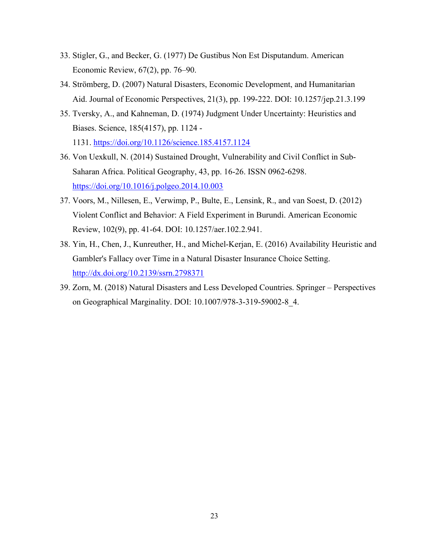- 33. Stigler, G., and Becker, G. (1977) De Gustibus Non Est Disputandum. American Economic Review, 67(2), pp. 76–90.
- 34. Strömberg, D. (2007) Natural Disasters, Economic Development, and Humanitarian Aid. Journal of Economic Perspectives, 21(3), pp. 199-222. DOI: 10.1257/jep.21.3.199
- 35. Tversky, A., and Kahneman, D. (1974) Judgment Under Uncertainty: Heuristics and Biases. Science, 185(4157), pp. 1124 -

1131. https://doi.org/10.1126/science.185.4157.1124

- 36. Von Uexkull, N. (2014) Sustained Drought, Vulnerability and Civil Conflict in Sub-Saharan Africa. Political Geography, 43, pp. 16-26. ISSN 0962-6298. https://doi.org/10.1016/j.polgeo.2014.10.003
- 37. Voors, M., Nillesen, E., Verwimp, P., Bulte, E., Lensink, R., and van Soest, D. (2012) Violent Conflict and Behavior: A Field Experiment in Burundi. American Economic Review, 102(9), pp. 41-64. DOI: 10.1257/aer.102.2.941.
- 38. Yin, H., Chen, J., Kunreuther, H., and Michel-Kerjan, E. (2016) Availability Heuristic and Gambler's Fallacy over Time in a Natural Disaster Insurance Choice Setting. http://dx.doi.org/10.2139/ssrn.2798371
- 39. Zorn, M. (2018) Natural Disasters and Less Developed Countries. Springer Perspectives on Geographical Marginality. DOI: 10.1007/978-3-319-59002-8\_4.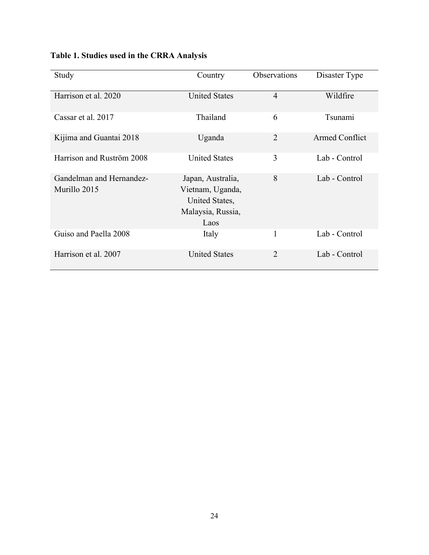| Study                                    | Country                                                                              | Observations   | Disaster Type  |
|------------------------------------------|--------------------------------------------------------------------------------------|----------------|----------------|
| Harrison et al. 2020                     | <b>United States</b>                                                                 | $\overline{4}$ | Wildfire       |
| Cassar et al. 2017                       | Thailand                                                                             | 6              | Tsunami        |
| Kijima and Guantai 2018                  | Uganda                                                                               | $\overline{2}$ | Armed Conflict |
| Harrison and Ruström 2008                | <b>United States</b>                                                                 | 3              | Lab - Control  |
| Gandelman and Hernandez-<br>Murillo 2015 | Japan, Australia,<br>Vietnam, Uganda,<br>United States,<br>Malaysia, Russia,<br>Laos | 8              | Lab - Control  |
| Guiso and Paella 2008                    | Italy                                                                                | $\mathbf{1}$   | Lab - Control  |
| Harrison et al. 2007                     | <b>United States</b>                                                                 | $\overline{2}$ | Lab - Control  |

# Table 1. Studies used in the CRRA Analysis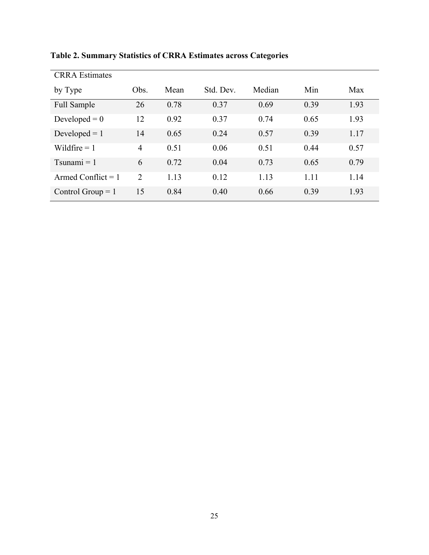| <b>CRRA</b> Estimates |                |      |           |        |      |      |
|-----------------------|----------------|------|-----------|--------|------|------|
| by Type               | Obs.           | Mean | Std. Dev. | Median | Min  | Max  |
| Full Sample           | 26             | 0.78 | 0.37      | 0.69   | 0.39 | 1.93 |
| Developed = $0$       | 12             | 0.92 | 0.37      | 0.74   | 0.65 | 1.93 |
| Developed $= 1$       | 14             | 0.65 | 0.24      | 0.57   | 0.39 | 1.17 |
| Wildfire $= 1$        | $\overline{4}$ | 0.51 | 0.06      | 0.51   | 0.44 | 0.57 |
| $T$ sunami = 1        | 6              | 0.72 | 0.04      | 0.73   | 0.65 | 0.79 |
| Armed Conflict $= 1$  | $\overline{2}$ | 1.13 | 0.12      | 1.13   | 1.11 | 1.14 |
| Control Group $= 1$   | 15             | 0.84 | 0.40      | 0.66   | 0.39 | 1.93 |

Table 2. Summary Statistics of CRRA Estimates across Categories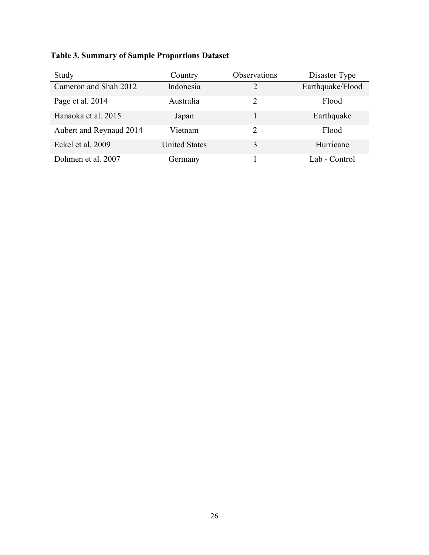### Table 3. Summary of Sample Proportions Dataset

| Study                   | Country              | <b>Observations</b> | Disaster Type    |
|-------------------------|----------------------|---------------------|------------------|
| Cameron and Shah 2012   | Indonesia            | $\overline{2}$      | Earthquake/Flood |
| Page et al. 2014        | Australia            | 2                   | Flood            |
| Hanaoka et al. 2015     | Japan                |                     | Earthquake       |
| Aubert and Reynaud 2014 | Vietnam              | 2                   | Flood            |
| Eckel et al. 2009       | <b>United States</b> | 3                   | Hurricane        |
| Dohmen et al. 2007      | Germany              |                     | Lab - Control    |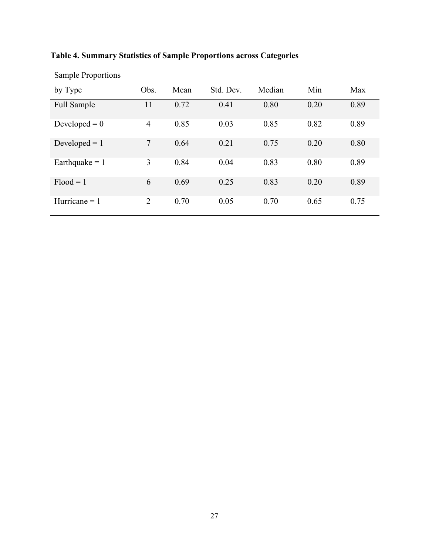| <b>Sample Proportions</b> |                |      |           |        |      |      |
|---------------------------|----------------|------|-----------|--------|------|------|
| by Type                   | Obs.           | Mean | Std. Dev. | Median | Min  | Max  |
| Full Sample               | 11             | 0.72 | 0.41      | 0.80   | 0.20 | 0.89 |
| Developed = $0$           | $\overline{4}$ | 0.85 | 0.03      | 0.85   | 0.82 | 0.89 |
| Developed $= 1$           | $\overline{7}$ | 0.64 | 0.21      | 0.75   | 0.20 | 0.80 |
| Earthquake $= 1$          | 3              | 0.84 | 0.04      | 0.83   | 0.80 | 0.89 |
| $Flood = 1$               | 6              | 0.69 | 0.25      | 0.83   | 0.20 | 0.89 |
| Hurricane $= 1$           | $\overline{2}$ | 0.70 | 0.05      | 0.70   | 0.65 | 0.75 |

# Table 4. Summary Statistics of Sample Proportions across Categories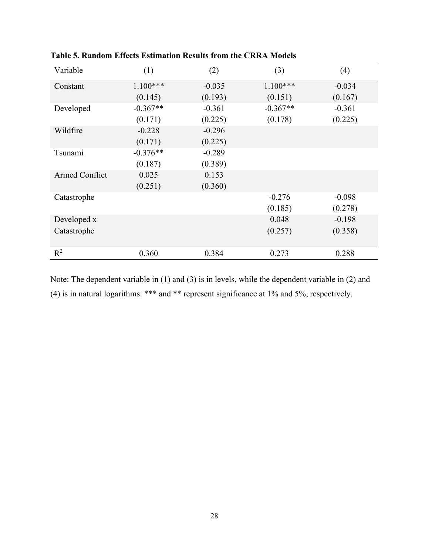| Variable              | (1)        | (2)      | (3)        | (4)      |
|-----------------------|------------|----------|------------|----------|
| Constant              | $1.100***$ | $-0.035$ | $1.100***$ | $-0.034$ |
|                       | (0.145)    | (0.193)  | (0.151)    | (0.167)  |
| Developed             | $-0.367**$ | $-0.361$ | $-0.367**$ | $-0.361$ |
|                       | (0.171)    | (0.225)  | (0.178)    | (0.225)  |
| Wildfire              | $-0.228$   | $-0.296$ |            |          |
|                       | (0.171)    | (0.225)  |            |          |
| Tsunami               | $-0.376**$ | $-0.289$ |            |          |
|                       | (0.187)    | (0.389)  |            |          |
| <b>Armed Conflict</b> | 0.025      | 0.153    |            |          |
|                       | (0.251)    | (0.360)  |            |          |
| Catastrophe           |            |          | $-0.276$   | $-0.098$ |
|                       |            |          | (0.185)    | (0.278)  |
| Developed x           |            |          | 0.048      | $-0.198$ |
| Catastrophe           |            |          | (0.257)    | (0.358)  |
| $R^2$                 | 0.360      | 0.384    | 0.273      | 0.288    |

Table 5. Random Effects Estimation Results from the CRRA Models

Note: The dependent variable in (1) and (3) is in levels, while the dependent variable in (2) and (4) is in natural logarithms. \*\*\* and \*\* represent significance at 1% and 5%, respectively.